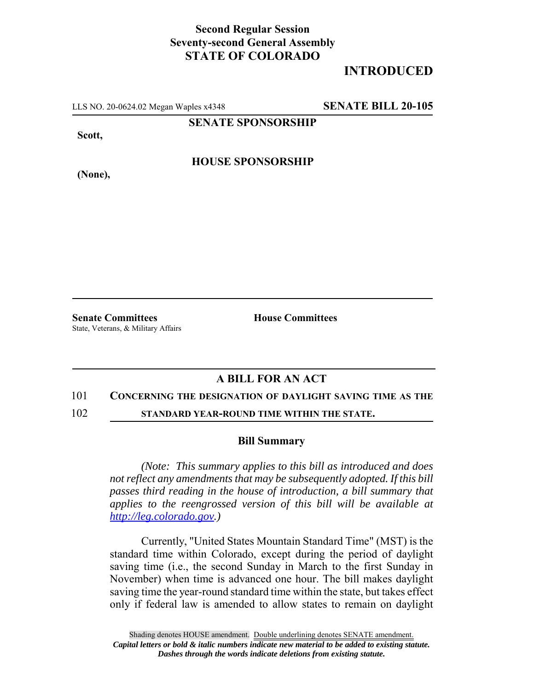## **Second Regular Session Seventy-second General Assembly STATE OF COLORADO**

# **INTRODUCED**

LLS NO. 20-0624.02 Megan Waples x4348 **SENATE BILL 20-105**

**SENATE SPONSORSHIP**

**Scott,**

**HOUSE SPONSORSHIP**

**(None),**

**Senate Committees House Committees** State, Veterans, & Military Affairs

## **A BILL FOR AN ACT**

### 101 **CONCERNING THE DESIGNATION OF DAYLIGHT SAVING TIME AS THE**

102 **STANDARD YEAR-ROUND TIME WITHIN THE STATE.**

#### **Bill Summary**

*(Note: This summary applies to this bill as introduced and does not reflect any amendments that may be subsequently adopted. If this bill passes third reading in the house of introduction, a bill summary that applies to the reengrossed version of this bill will be available at http://leg.colorado.gov.)*

Currently, "United States Mountain Standard Time" (MST) is the standard time within Colorado, except during the period of daylight saving time (i.e., the second Sunday in March to the first Sunday in November) when time is advanced one hour. The bill makes daylight saving time the year-round standard time within the state, but takes effect only if federal law is amended to allow states to remain on daylight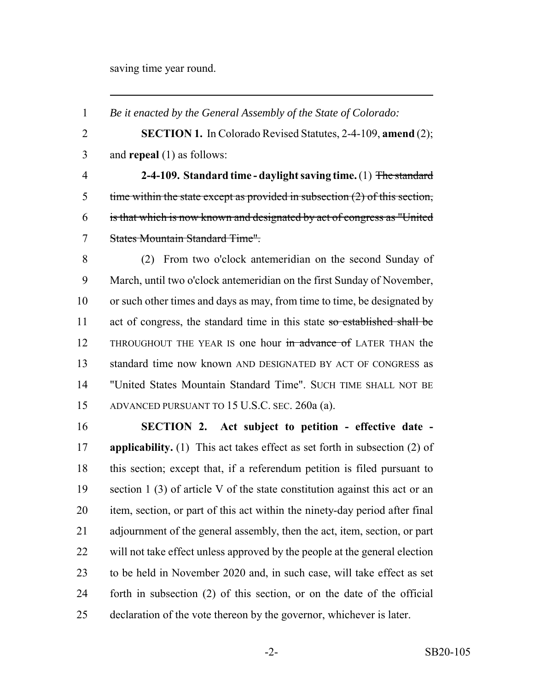saving time year round.

*Be it enacted by the General Assembly of the State of Colorado:*

 **SECTION 1.** In Colorado Revised Statutes, 2-4-109, **amend** (2); and **repeal** (1) as follows:

 **2-4-109. Standard time - daylight saving time.** (1) The standard time within the state except as provided in subsection (2) of this section, is that which is now known and designated by act of congress as "United States Mountain Standard Time".

 (2) From two o'clock antemeridian on the second Sunday of March, until two o'clock antemeridian on the first Sunday of November, or such other times and days as may, from time to time, be designated by 11 act of congress, the standard time in this state so established shall be 12 THROUGHOUT THE YEAR IS one hour in advance of LATER THAN the standard time now known AND DESIGNATED BY ACT OF CONGRESS as "United States Mountain Standard Time". SUCH TIME SHALL NOT BE ADVANCED PURSUANT TO 15 U.S.C. SEC. 260a (a).

 **SECTION 2. Act subject to petition - effective date - applicability.** (1) This act takes effect as set forth in subsection (2) of this section; except that, if a referendum petition is filed pursuant to section 1 (3) of article V of the state constitution against this act or an item, section, or part of this act within the ninety-day period after final adjournment of the general assembly, then the act, item, section, or part will not take effect unless approved by the people at the general election to be held in November 2020 and, in such case, will take effect as set forth in subsection (2) of this section, or on the date of the official declaration of the vote thereon by the governor, whichever is later.